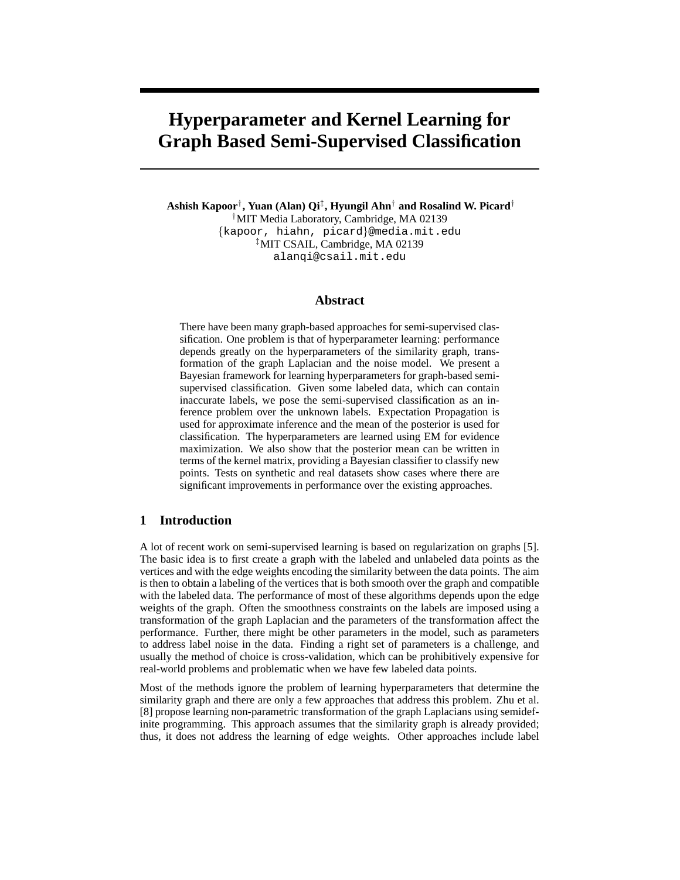# **Hyperparameter and Kernel Learning for Graph Based Semi-Supervised Classification**

**Ashish Kapoor**† **, Yuan (Alan) Qi**‡ **, Hyungil Ahn**† **and Rosalind W. Picard**† †MIT Media Laboratory, Cambridge, MA 02139 {kapoor, hiahn, picard}@media.mit.edu ‡MIT CSAIL, Cambridge, MA 02139 alanqi@csail.mit.edu

## **Abstract**

There have been many graph-based approaches for semi-supervised classification. One problem is that of hyperparameter learning: performance depends greatly on the hyperparameters of the similarity graph, transformation of the graph Laplacian and the noise model. We present a Bayesian framework for learning hyperparameters for graph-based semisupervised classification. Given some labeled data, which can contain inaccurate labels, we pose the semi-supervised classification as an inference problem over the unknown labels. Expectation Propagation is used for approximate inference and the mean of the posterior is used for classification. The hyperparameters are learned using EM for evidence maximization. We also show that the posterior mean can be written in terms of the kernel matrix, providing a Bayesian classifier to classify new points. Tests on synthetic and real datasets show cases where there are significant improvements in performance over the existing approaches.

# **1 Introduction**

A lot of recent work on semi-supervised learning is based on regularization on graphs [5]. The basic idea is to first create a graph with the labeled and unlabeled data points as the vertices and with the edge weights encoding the similarity between the data points. The aim is then to obtain a labeling of the vertices that is both smooth over the graph and compatible with the labeled data. The performance of most of these algorithms depends upon the edge weights of the graph. Often the smoothness constraints on the labels are imposed using a transformation of the graph Laplacian and the parameters of the transformation affect the performance. Further, there might be other parameters in the model, such as parameters to address label noise in the data. Finding a right set of parameters is a challenge, and usually the method of choice is cross-validation, which can be prohibitively expensive for real-world problems and problematic when we have few labeled data points.

Most of the methods ignore the problem of learning hyperparameters that determine the similarity graph and there are only a few approaches that address this problem. Zhu et al. [8] propose learning non-parametric transformation of the graph Laplacians using semidefinite programming. This approach assumes that the similarity graph is already provided; thus, it does not address the learning of edge weights. Other approaches include label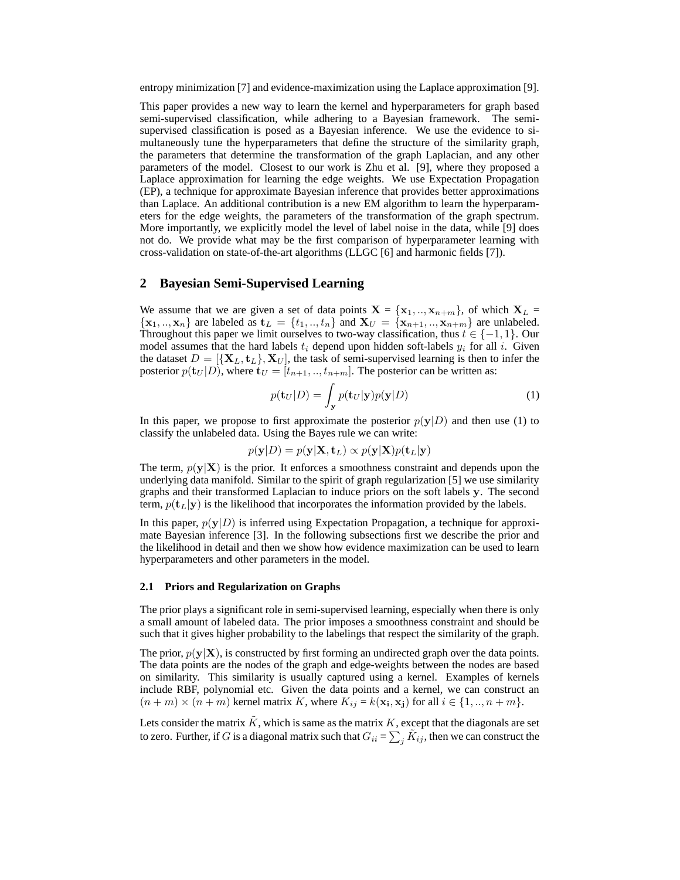entropy minimization [7] and evidence-maximization using the Laplace approximation [9].

This paper provides a new way to learn the kernel and hyperparameters for graph based semi-supervised classification, while adhering to a Bayesian framework. The semisupervised classification is posed as a Bayesian inference. We use the evidence to simultaneously tune the hyperparameters that define the structure of the similarity graph, the parameters that determine the transformation of the graph Laplacian, and any other parameters of the model. Closest to our work is Zhu et al. [9], where they proposed a Laplace approximation for learning the edge weights. We use Expectation Propagation (EP), a technique for approximate Bayesian inference that provides better approximations than Laplace. An additional contribution is a new EM algorithm to learn the hyperparameters for the edge weights, the parameters of the transformation of the graph spectrum. More importantly, we explicitly model the level of label noise in the data, while [9] does not do. We provide what may be the first comparison of hyperparameter learning with cross-validation on state-of-the-art algorithms (LLGC [6] and harmonic fields [7]).

### **2 Bayesian Semi-Supervised Learning**

We assume that we are given a set of data points  $X = \{x_1, ..., x_{n+m}\}\$ , of which  $X_L =$  $\{x_1, ..., x_n\}$  are labeled as  $\mathbf{t}_L = \{t_1, ..., t_n\}$  and  $\mathbf{X}_U = \{\mathbf{x}_{n+1}, ..., \mathbf{x}_{n+m}\}$  are unlabeled. Throughout this paper we limit ourselves to two-way classification, thus  $t \in \{-1, 1\}$ . Our model assumes that the hard labels  $t_i$  depend upon hidden soft-labels  $y_i$  for all i. Given the dataset  $D = [\{ \mathbf{X}_L, \mathbf{t}_L \}, \mathbf{X}_U]$ , the task of semi-supervised learning is then to infer the posterior  $p(\mathbf{t}_U | D)$ , where  $\mathbf{t}_U = [t_{n+1}, ..., t_{n+m}]$ . The posterior can be written as:

$$
p(\mathbf{t}_U|D) = \int_{\mathbf{y}} p(\mathbf{t}_U|\mathbf{y}) p(\mathbf{y}|D)
$$
 (1)

In this paper, we propose to first approximate the posterior  $p(y|D)$  and then use (1) to classify the unlabeled data. Using the Bayes rule we can write:

$$
p(\mathbf{y}|D) = p(\mathbf{y}|\mathbf{X}, \mathbf{t}_L) \propto p(\mathbf{y}|\mathbf{X})p(\mathbf{t}_L|\mathbf{y})
$$

The term,  $p(y|X)$  is the prior. It enforces a smoothness constraint and depends upon the underlying data manifold. Similar to the spirit of graph regularization [5] we use similarity graphs and their transformed Laplacian to induce priors on the soft labels y. The second term,  $p(\mathbf{t}_L|\mathbf{y})$  is the likelihood that incorporates the information provided by the labels.

In this paper,  $p(y|D)$  is inferred using Expectation Propagation, a technique for approximate Bayesian inference [3]. In the following subsections first we describe the prior and the likelihood in detail and then we show how evidence maximization can be used to learn hyperparameters and other parameters in the model.

### **2.1 Priors and Regularization on Graphs**

The prior plays a significant role in semi-supervised learning, especially when there is only a small amount of labeled data. The prior imposes a smoothness constraint and should be such that it gives higher probability to the labelings that respect the similarity of the graph.

The prior,  $p(y|X)$ , is constructed by first forming an undirected graph over the data points. The data points are the nodes of the graph and edge-weights between the nodes are based on similarity. This similarity is usually captured using a kernel. Examples of kernels include RBF, polynomial etc. Given the data points and a kernel, we can construct an  $(n+m) \times (n+m)$  kernel matrix K, where  $K_{ij} = k(\mathbf{x_i}, \mathbf{x_j})$  for all  $i \in \{1, ..., n+m\}$ .

Lets consider the matrix  $K$ , which is same as the matrix  $K$ , except that the diagonals are set to zero. Further, if  $G$  is a diagonal matrix such that  $G_{ii}$  =  $\sum_j \tilde{K}_{ij}$ , then we can construct the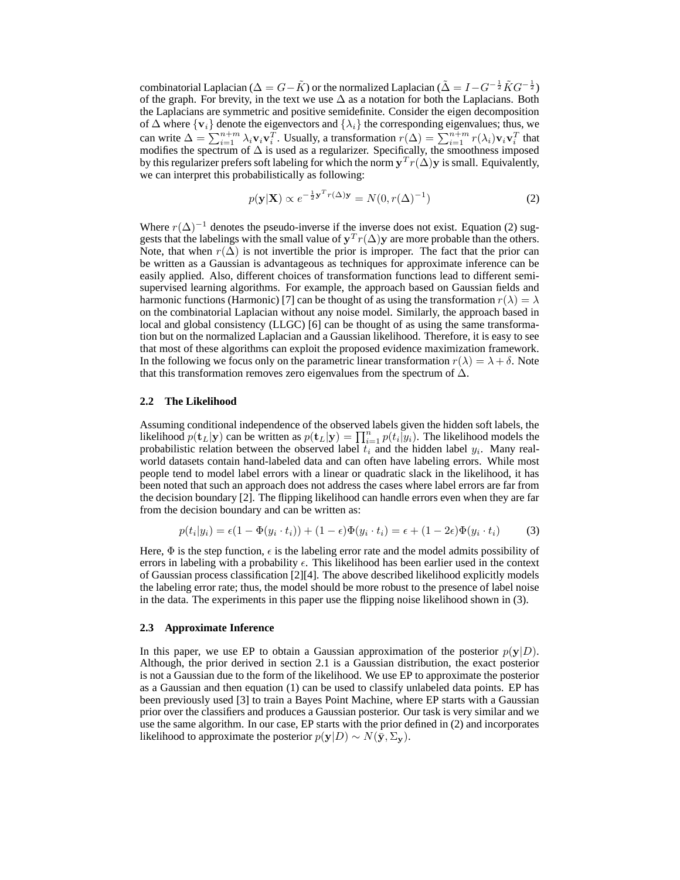combinatorial Laplacian ( $\Delta = G - \tilde{K}$ ) or the normalized Laplacian ( $\tilde{\Delta} = I - G^{-\frac{1}{2}} \tilde{K} G^{-\frac{1}{2}}$ ) of the graph. For brevity, in the text we use  $\Delta$  as a notation for both the Laplacians. Both the Laplacians are symmetric and positive semidefinite. Consider the eigen decomposition of  $\Delta$  where  $\{v_i\}$  denote the eigenvectors and  $\{\lambda_i\}$  the corresponding eigenvalues; thus, we can write  $\Delta = \sum_{i=1}^{n+m} \lambda_i \mathbf{v}_i \mathbf{v}_i^T$ . Usually, a transformation  $r(\Delta) = \sum_{i=1}^{n+m} r(\lambda_i) \mathbf{v}_i \mathbf{v}_i^T$  that modifies the spectrum of  $\Delta$  is used as a regularizer. Specifically, the smoothness imposed by this regularizer prefers soft labeling for which the norm  $y^T r(\Delta) y$  is small. Equivalently, we can interpret this probabilistically as following:

$$
p(\mathbf{y}|\mathbf{X}) \propto e^{-\frac{1}{2}\mathbf{y}^T r(\Delta)\mathbf{y}} = N(0, r(\Delta)^{-1})
$$
\n(2)

Where  $r(\Delta)^{-1}$  denotes the pseudo-inverse if the inverse does not exist. Equation (2) suggests that the labelings with the small value of  $y^T r(\Delta) y$  are more probable than the others. Note, that when  $r(\Delta)$  is not invertible the prior is improper. The fact that the prior can be written as a Gaussian is advantageous as techniques for approximate inference can be easily applied. Also, different choices of transformation functions lead to different semisupervised learning algorithms. For example, the approach based on Gaussian fields and harmonic functions (Harmonic) [7] can be thought of as using the transformation  $r(\lambda) = \lambda$ on the combinatorial Laplacian without any noise model. Similarly, the approach based in local and global consistency (LLGC) [6] can be thought of as using the same transformation but on the normalized Laplacian and a Gaussian likelihood. Therefore, it is easy to see that most of these algorithms can exploit the proposed evidence maximization framework. In the following we focus only on the parametric linear transformation  $r(\lambda) = \lambda + \delta$ . Note that this transformation removes zero eigenvalues from the spectrum of  $\Delta$ .

#### **2.2 The Likelihood**

Assuming conditional independence of the observed labels given the hidden soft labels, the likelihood  $p(\mathbf{t}_L|\mathbf{y})$  can be written as  $p(\mathbf{t}_L|\mathbf{y}) = \prod_{i=1}^n p(t_i|\mathbf{y}_i)$ . The likelihood models the probabilistic relation between the observed label  $t_i$  and the hidden label  $y_i$ . Many realworld datasets contain hand-labeled data and can often have labeling errors. While most people tend to model label errors with a linear or quadratic slack in the likelihood, it has been noted that such an approach does not address the cases where label errors are far from the decision boundary [2]. The flipping likelihood can handle errors even when they are far from the decision boundary and can be written as:

$$
p(t_i|y_i) = \epsilon(1 - \Phi(y_i \cdot t_i)) + (1 - \epsilon)\Phi(y_i \cdot t_i) = \epsilon + (1 - 2\epsilon)\Phi(y_i \cdot t_i)
$$
(3)

Here,  $\Phi$  is the step function,  $\epsilon$  is the labeling error rate and the model admits possibility of errors in labeling with a probability  $\epsilon$ . This likelihood has been earlier used in the context of Gaussian process classification [2][4]. The above described likelihood explicitly models the labeling error rate; thus, the model should be more robust to the presence of label noise in the data. The experiments in this paper use the flipping noise likelihood shown in (3).

### **2.3 Approximate Inference**

In this paper, we use EP to obtain a Gaussian approximation of the posterior  $p(y|D)$ . Although, the prior derived in section 2.1 is a Gaussian distribution, the exact posterior is not a Gaussian due to the form of the likelihood. We use EP to approximate the posterior as a Gaussian and then equation (1) can be used to classify unlabeled data points. EP has been previously used [3] to train a Bayes Point Machine, where EP starts with a Gaussian prior over the classifiers and produces a Gaussian posterior. Our task is very similar and we use the same algorithm. In our case, EP starts with the prior defined in (2) and incorporates likelihood to approximate the posterior  $p(y|D) \sim N(\bar{y}, \Sigma_y)$ .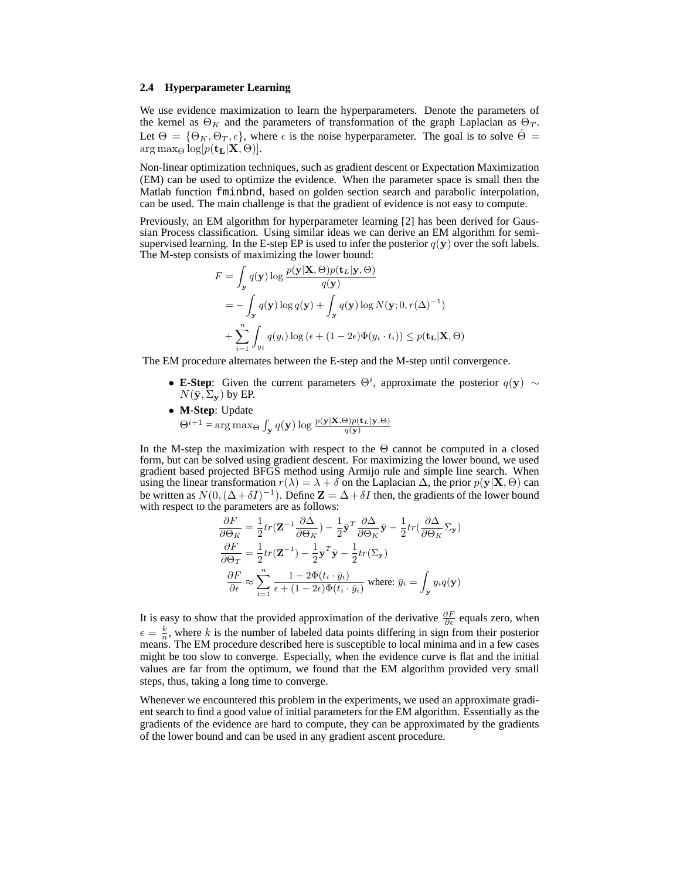#### **2.4 Hyperparameter Learning**

We use evidence maximization to learn the hyperparameters. Denote the parameters of the kernel as  $\Theta_K$  and the parameters of transformation of the graph Laplacian as  $\Theta_T$ . Let  $\Theta = {\Theta_K, \Theta_T, \epsilon}$ , where  $\epsilon$  is the noise hyperparameter. The goal is to solve  $\hat{\Theta} =$  $\arg \max_{\Theta} \log[p(\mathbf{t_L}|\mathbf{X}, \Theta)].$ 

Non-linear optimization techniques, such as gradient descent or Expectation Maximization (EM) can be used to optimize the evidence. When the parameter space is small then the Matlab function fminbnd, based on golden section search and parabolic interpolation, can be used. The main challenge is that the gradient of evidence is not easy to compute.

Previously, an EM algorithm for hyperparameter learning [2] has been derived for Gaussian Process classification. Using similar ideas we can derive an EM algorithm for semisupervised learning. In the E-step EP is used to infer the posterior  $q(\mathbf{y})$  over the soft labels. The M-step consists of maximizing the lower bound:

$$
F = \int_{\mathbf{y}} q(\mathbf{y}) \log \frac{p(\mathbf{y}|\mathbf{X}, \Theta) p(\mathbf{t}_L|\mathbf{y}, \Theta)}{q(\mathbf{y})}
$$
  
=  $-\int_{\mathbf{y}} q(\mathbf{y}) \log q(\mathbf{y}) + \int_{\mathbf{y}} q(\mathbf{y}) \log N(\mathbf{y}; 0, r(\Delta)^{-1})$   
+  $\sum_{i=1}^{n} \int_{y_i} q(y_i) \log (\epsilon + (1 - 2\epsilon) \Phi(y_i \cdot t_i)) \le p(\mathbf{t}_L|\mathbf{X}, \Theta)$ 

The EM procedure alternates between the E-step and the M-step until convergence.

- **E-Step**: Given the current parameters  $\Theta^i$ , approximate the posterior  $q(\mathbf{y}) \sim$  $N(\bar{y}, \Sigma_{\mathbf{v}})$  by EP.
- **M-Step**: Update  $\Theta^{i+1} = \arg \max_{\Theta} \int_{\mathbf{y}} q(\mathbf{y}) \log \frac{p(\mathbf{y}|\mathbf{X},\Theta)p(\mathbf{t}_L|\mathbf{y},\Theta)}{q(\mathbf{y})}$

In the M-step the maximization with respect to the  $\Theta$  cannot be computed in a closed form, but can be solved using gradient descent. For maximizing the lower bound, we used gradient based projected BFGS method using Armijo rule and simple line search. When using the linear transformation  $r(\lambda) = \lambda + \delta$  on the Laplacian  $\Delta$ , the prior  $p(\mathbf{y}|\mathbf{X}, \Theta)$  can be written as  $N(0, (\Delta + \delta I)^{-1})$ . Define  $\mathbf{Z} = \Delta + \delta I$  then, the gradients of the lower bound with respect to the parameters are as follows:

$$
\begin{aligned} &\frac{\partial F}{\partial \Theta_K}=\frac{1}{2}tr(\mathbf{Z}^{-1}\frac{\partial \Delta}{\partial \Theta_K})-\frac{1}{2}\bar{\mathbf{y}}^T\frac{\partial \Delta}{\partial \Theta_K}\bar{\mathbf{y}}-\frac{1}{2}tr(\frac{\partial \Delta}{\partial \Theta_K}\Sigma_{\mathbf{y}})\\ &\frac{\partial F}{\partial \Theta_T}=\frac{1}{2}tr(\mathbf{Z}^{-1})-\frac{1}{2}\bar{\mathbf{y}}^T\bar{\mathbf{y}}-\frac{1}{2}tr(\Sigma_{\mathbf{y}})\\ &\frac{\partial F}{\partial \epsilon}\approx\sum_{i=1}^n\frac{1-2\Phi(t_i\cdot \bar{y}_i)}{\epsilon+(1-2\epsilon)\Phi(t_i\cdot \bar{y}_i)}\text{ where: }\bar{y}_i=\int_{\mathbf{y}}y_iq(\mathbf{y}) \end{aligned}
$$

It is easy to show that the provided approximation of the derivative  $\frac{\partial F}{\partial \epsilon}$  equals zero, when  $\epsilon = \frac{k}{n}$ , where k is the number of labeled data points differing in sign from their posterior means. The EM procedure described here is susceptible to local minima and in a few cases might be too slow to converge. Especially, when the evidence curve is flat and the initial values are far from the optimum, we found that the EM algorithm provided very small steps, thus, taking a long time to converge.

Whenever we encountered this problem in the experiments, we used an approximate gradient search to find a good value of initial parameters for the EM algorithm. Essentially as the gradients of the evidence are hard to compute, they can be approximated by the gradients of the lower bound and can be used in any gradient ascent procedure.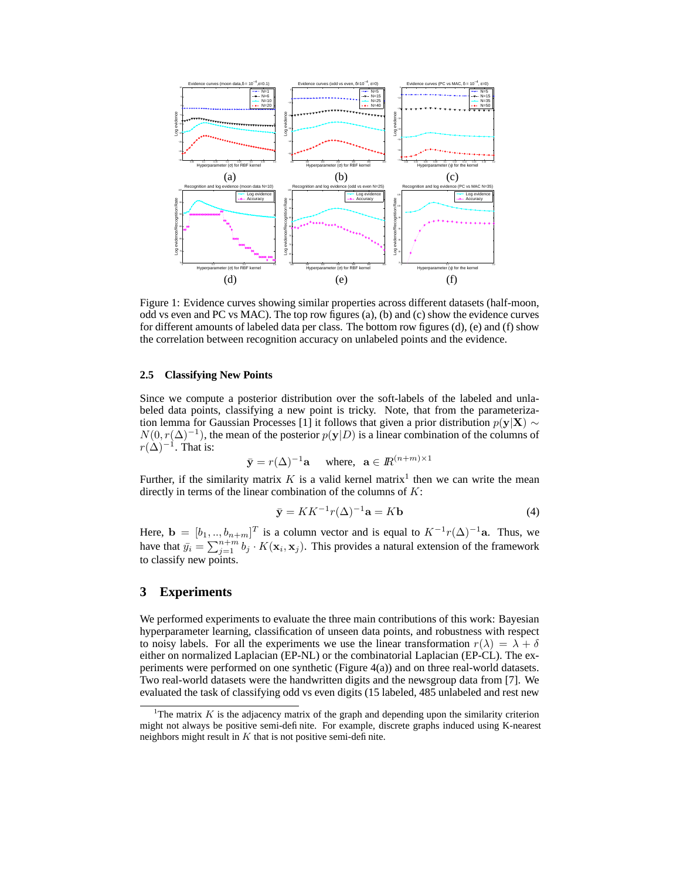

Figure 1: Evidence curves showing similar properties across different datasets (half-moon, odd vs even and PC vs MAC). The top row figures (a), (b) and (c) show the evidence curves for different amounts of labeled data per class. The bottom row figures  $(d)$ ,  $(e)$  and  $(f)$  show the correlation between recognition accuracy on unlabeled points and the evidence.

#### **2.5 Classifying New Points**

Since we compute a posterior distribution over the soft-labels of the labeled and unlabeled data points, classifying a new point is tricky. Note, that from the parameterization lemma for Gaussian Processes [1] it follows that given a prior distribution  $p(y|X) \sim$  $N(0, r(\Delta)^{-1})$ , the mean of the posterior  $p(y|D)$  is a linear combination of the columns of  $r(\Delta)^{-1}$ . That is:

$$
\bar{y} = r(\Delta)^{-1}a
$$
 where,  $a \in \mathbb{R}^{(n+m)\times 1}$ 

Further, if the similarity matrix K is a valid kernel matrix<sup>1</sup> then we can write the mean directly in terms of the linear combination of the columns of  $K$ :

$$
\bar{\mathbf{y}} = KK^{-1}r(\Delta)^{-1}\mathbf{a} = K\mathbf{b}
$$
 (4)

Here,  $\mathbf{b} = [b_1, ..., b_{n+m}]^T$  is a column vector and is equal to  $K^{-1}r(\Delta)^{-1}\mathbf{a}$ . Thus, we have that  $\bar{y}_i = \sum_{j=1}^{n+m} b_j \cdot K(\mathbf{x}_i, \mathbf{x}_j)$ . This provides a natural extension of the framework to classify new points.

## **3 Experiments**

We performed experiments to evaluate the three main contributions of this work: Bayesian hyperparameter learning, classification of unseen data points, and robustness with respect to noisy labels. For all the experiments we use the linear transformation  $r(\lambda) = \lambda + \delta$ either on normalized Laplacian (EP-NL) or the combinatorial Laplacian (EP-CL). The experiments were performed on one synthetic (Figure 4(a)) and on three real-world datasets. Two real-world datasets were the handwritten digits and the newsgroup data from [7]. We evaluated the task of classifying odd vs even digits (15 labeled, 485 unlabeled and rest new

<sup>&</sup>lt;sup>1</sup>The matrix K is the adjacency matrix of the graph and depending upon the similarity criterion might not always be positive semi-definite. For example, discrete graphs induced using K-nearest neighbors might result in  $K$  that is not positive semi-definite.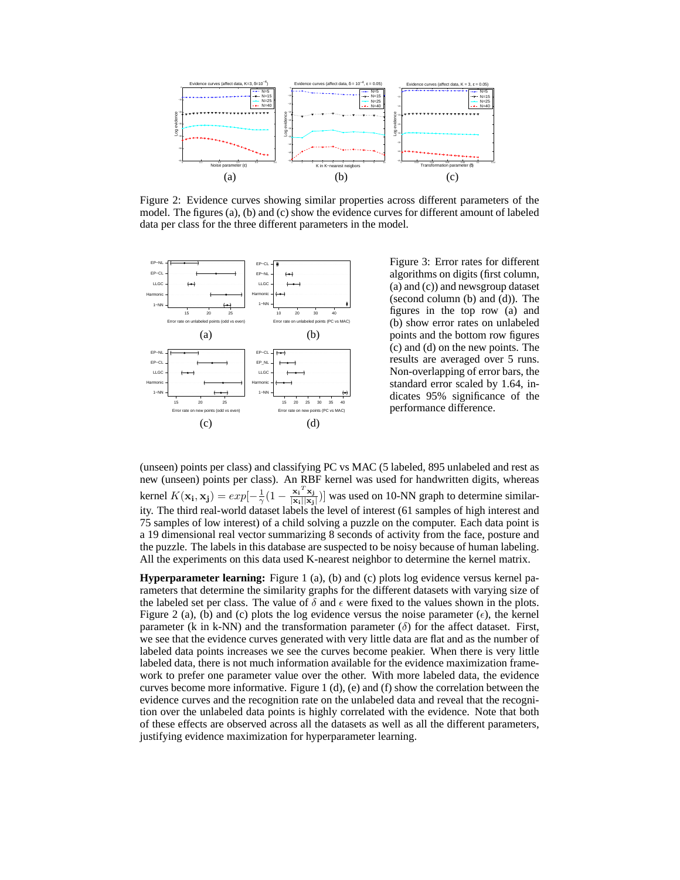

Figure 2: Evidence curves showing similar properties across different parameters of the model. The figures (a), (b) and (c) show the evidence curves for different amount of labeled data per class for the three different parameters in the model.



Figure 3: Error rates for different algorithms on digits (first column, (a) and (c)) and newsgroup dataset (second column (b) and (d)). The figures in the top row (a) and (b) show error rates on unlabeled points and the bottom row figures (c) and (d) on the new points. The results are averaged over 5 runs. Non-overlapping of error bars, the standard error scaled by 1.64, indicates 95% significance of the performance difference.

(unseen) points per class) and classifying PC vs MAC (5 labeled, 895 unlabeled and rest as new (unseen) points per class). An RBF kernel was used for handwritten digits, whereas kernel  $K(\mathbf{x_i}, \mathbf{x_j}) = exp[-\frac{1}{\gamma}(1 - \frac{\mathbf{x_i}^T \mathbf{x_j}}{|\mathbf{x_i}||\mathbf{x_j}})]$  $\frac{x_i}{|x_i||x_j|}$  was used on 10-NN graph to determine similarity. The third real-world dataset labels the level of interest (61 samples of high interest and 75 samples of low interest) of a child solving a puzzle on the computer. Each data point is a 19 dimensional real vector summarizing 8 seconds of activity from the face, posture and the puzzle. The labels in this database are suspected to be noisy because of human labeling. All the experiments on this data used K-nearest neighbor to determine the kernel matrix.

**Hyperparameter learning:** Figure 1 (a), (b) and (c) plots log evidence versus kernel parameters that determine the similarity graphs for the different datasets with varying size of the labeled set per class. The value of  $\delta$  and  $\epsilon$  were fixed to the values shown in the plots. Figure 2 (a), (b) and (c) plots the log evidence versus the noise parameter ( $\epsilon$ ), the kernel parameter (k in k-NN) and the transformation parameter  $(\delta)$  for the affect dataset. First, we see that the evidence curves generated with very little data are flat and as the number of labeled data points increases we see the curves become peakier. When there is very little labeled data, there is not much information available for the evidence maximization framework to prefer one parameter value over the other. With more labeled data, the evidence curves become more informative. Figure 1 (d), (e) and (f) show the correlation between the evidence curves and the recognition rate on the unlabeled data and reveal that the recognition over the unlabeled data points is highly correlated with the evidence. Note that both of these effects are observed across all the datasets as well as all the different parameters, justifying evidence maximization for hyperparameter learning.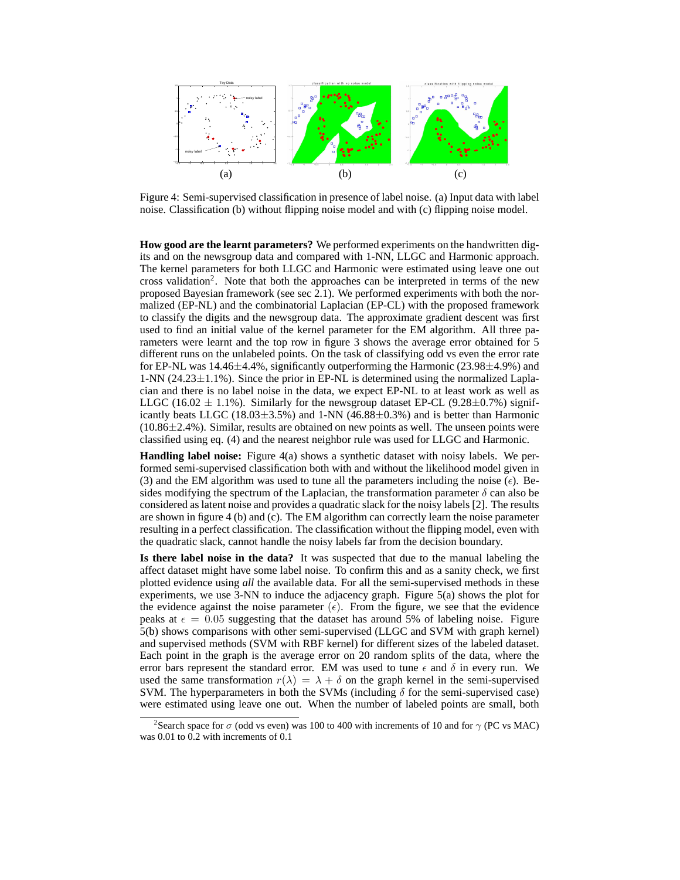

Figure 4: Semi-supervised classification in presence of label noise. (a) Input data with label noise. Classification (b) without flipping noise model and with (c) flipping noise model.

**How good are the learnt parameters?** We performed experiments on the handwritten digits and on the newsgroup data and compared with 1-NN, LLGC and Harmonic approach. The kernel parameters for both LLGC and Harmonic were estimated using leave one out cross validation<sup>2</sup>. Note that both the approaches can be interpreted in terms of the new proposed Bayesian framework (see sec 2.1). We performed experiments with both the normalized (EP-NL) and the combinatorial Laplacian (EP-CL) with the proposed framework to classify the digits and the newsgroup data. The approximate gradient descent was first used to find an initial value of the kernel parameter for the EM algorithm. All three parameters were learnt and the top row in figure 3 shows the average error obtained for 5 different runs on the unlabeled points. On the task of classifying odd vs even the error rate for EP-NL was  $14.46\pm4.4\%$ , significantly outperforming the Harmonic (23.98 $\pm4.9\%$ ) and  $1-NN$  ( $24.23 \pm 1.1\%$ ). Since the prior in EP-NL is determined using the normalized Laplacian and there is no label noise in the data, we expect EP-NL to at least work as well as LLGC (16.02  $\pm$  1.1%). Similarly for the newsgroup dataset EP-CL (9.28 $\pm$ 0.7%) significantly beats LLGC (18.03±3.5%) and 1-NN (46.88±0.3%) and is better than Harmonic  $(10.86\pm2.4\%)$ . Similar, results are obtained on new points as well. The unseen points were classified using eq. (4) and the nearest neighbor rule was used for LLGC and Harmonic.

**Handling label noise:** Figure 4(a) shows a synthetic dataset with noisy labels. We performed semi-supervised classification both with and without the likelihood model given in (3) and the EM algorithm was used to tune all the parameters including the noise  $(\epsilon)$ . Besides modifying the spectrum of the Laplacian, the transformation parameter  $\delta$  can also be considered as latent noise and provides a quadratic slack for the noisy labels [2]. The results are shown in figure 4 (b) and (c). The EM algorithm can correctly learn the noise parameter resulting in a perfect classification. The classification without the flipping model, even with the quadratic slack, cannot handle the noisy labels far from the decision boundary.

**Is there label noise in the data?** It was suspected that due to the manual labeling the affect dataset might have some label noise. To confirm this and as a sanity check, we first plotted evidence using *all* the available data. For all the semi-supervised methods in these experiments, we use 3-NN to induce the adjacency graph. Figure 5(a) shows the plot for the evidence against the noise parameter  $(\epsilon)$ . From the figure, we see that the evidence peaks at  $\epsilon = 0.05$  suggesting that the dataset has around 5% of labeling noise. Figure 5(b) shows comparisons with other semi-supervised (LLGC and SVM with graph kernel) and supervised methods (SVM with RBF kernel) for different sizes of the labeled dataset. Each point in the graph is the average error on 20 random splits of the data, where the error bars represent the standard error. EM was used to tune  $\epsilon$  and  $\delta$  in every run. We used the same transformation  $r(\lambda) = \lambda + \delta$  on the graph kernel in the semi-supervised SVM. The hyperparameters in both the SVMs (including  $\delta$  for the semi-supervised case) were estimated using leave one out. When the number of labeled points are small, both

<sup>&</sup>lt;sup>2</sup>Search space for  $\sigma$  (odd vs even) was 100 to 400 with increments of 10 and for  $\gamma$  (PC vs MAC) was 0.01 to 0.2 with increments of 0.1